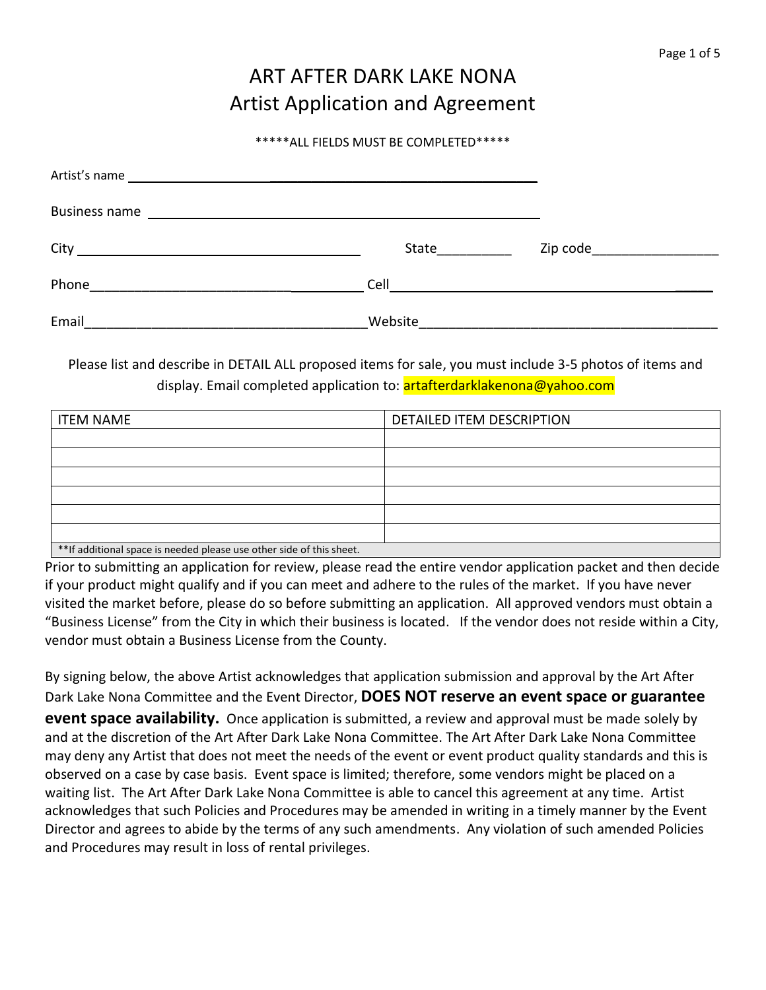# ART AFTER DARK LAKE NONA Artist Application and Agreement

#### \*\*\*\*\*ALL FIELDS MUST BE COMPLETED\*\*\*\*\*

| <b>Business name</b><br><u> 1989 - Johann John Stein, markin fizik eta idazlea (</u> |         |                                                           |
|--------------------------------------------------------------------------------------|---------|-----------------------------------------------------------|
|                                                                                      | State   | Zip code____________________                              |
| Phone                                                                                | Cell    | <u> 1980 - John Stein, Amerikaansk politiker († 1908)</u> |
| Email                                                                                | Website |                                                           |

Please list and describe in DETAIL ALL proposed items for sale, you must include 3-5 photos of items and display. Email completed application to: **artafterdarklakenona@yahoo.com** 

| <b>ITEM NAME</b>                                                      | DETAILED ITEM DESCRIPTION |  |
|-----------------------------------------------------------------------|---------------------------|--|
|                                                                       |                           |  |
|                                                                       |                           |  |
|                                                                       |                           |  |
|                                                                       |                           |  |
|                                                                       |                           |  |
|                                                                       |                           |  |
| ** If additional space is needed please use other side of this sheet. |                           |  |

Prior to submitting an application for review, please read the entire vendor application packet and then decide if your product might qualify and if you can meet and adhere to the rules of the market. If you have never visited the market before, please do so before submitting an application. All approved vendors must obtain a "Business License" from the City in which their business is located. If the vendor does not reside within a City, vendor must obtain a Business License from the County.

By signing below, the above Artist acknowledges that application submission and approval by the Art After Dark Lake Nona Committee and the Event Director, **DOES NOT reserve an event space or guarantee event space availability.** Once application is submitted, a review and approval must be made solely by and at the discretion of the Art After Dark Lake Nona Committee. The Art After Dark Lake Nona Committee may deny any Artist that does not meet the needs of the event or event product quality standards and this is observed on a case by case basis. Event space is limited; therefore, some vendors might be placed on a waiting list. The Art After Dark Lake Nona Committee is able to cancel this agreement at any time. Artist acknowledges that such Policies and Procedures may be amended in writing in a timely manner by the Event Director and agrees to abide by the terms of any such amendments. Any violation of such amended Policies and Procedures may result in loss of rental privileges.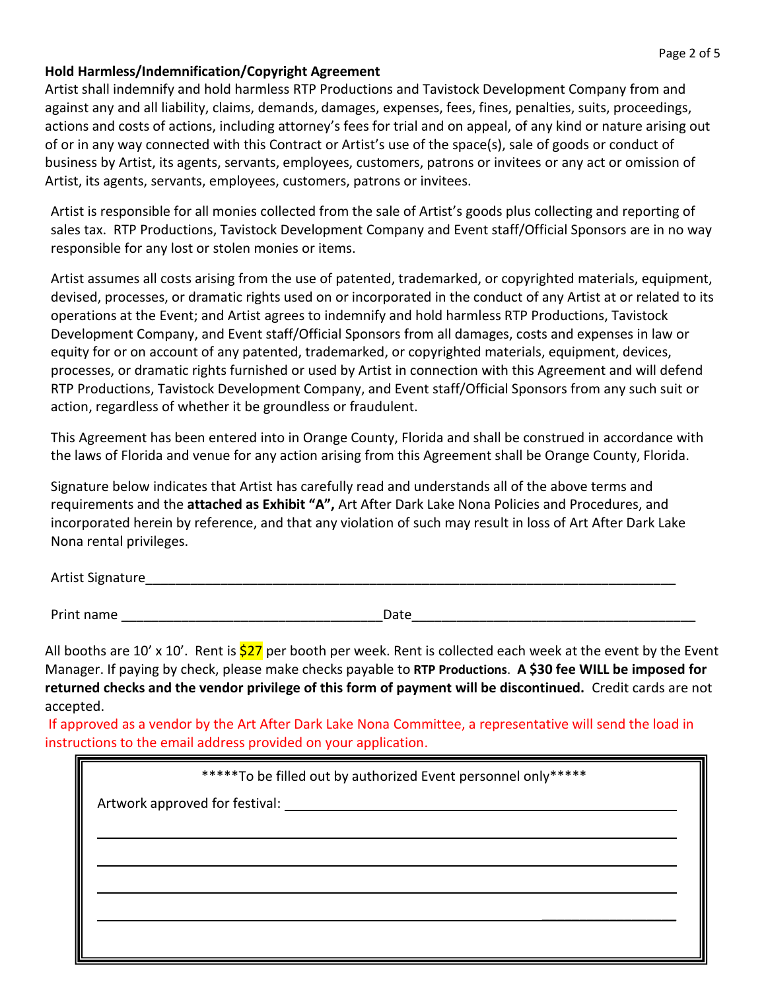#### **Hold Harmless/Indemnification/Copyright Agreement**

Artist shall indemnify and hold harmless RTP Productions and Tavistock Development Company from and against any and all liability, claims, demands, damages, expenses, fees, fines, penalties, suits, proceedings, actions and costs of actions, including attorney's fees for trial and on appeal, of any kind or nature arising out of or in any way connected with this Contract or Artist's use of the space(s), sale of goods or conduct of business by Artist, its agents, servants, employees, customers, patrons or invitees or any act or omission of Artist, its agents, servants, employees, customers, patrons or invitees.

Artist is responsible for all monies collected from the sale of Artist's goods plus collecting and reporting of sales tax. RTP Productions, Tavistock Development Company and Event staff/Official Sponsors are in no way responsible for any lost or stolen monies or items.

Artist assumes all costs arising from the use of patented, trademarked, or copyrighted materials, equipment, devised, processes, or dramatic rights used on or incorporated in the conduct of any Artist at or related to its operations at the Event; and Artist agrees to indemnify and hold harmless RTP Productions, Tavistock Development Company, and Event staff/Official Sponsors from all damages, costs and expenses in law or equity for or on account of any patented, trademarked, or copyrighted materials, equipment, devices, processes, or dramatic rights furnished or used by Artist in connection with this Agreement and will defend RTP Productions, Tavistock Development Company, and Event staff/Official Sponsors from any such suit or action, regardless of whether it be groundless or fraudulent.

This Agreement has been entered into in Orange County, Florida and shall be construed in accordance with the laws of Florida and venue for any action arising from this Agreement shall be Orange County, Florida.

Signature below indicates that Artist has carefully read and understands all of the above terms and requirements and the **attached as Exhibit "A",** Art After Dark Lake Nona Policies and Procedures, and incorporated herein by reference, and that any violation of such may result in loss of Art After Dark Lake Nona rental privileges.

Artist Signature

Print name \_\_\_\_\_\_\_\_\_\_\_\_\_\_\_\_\_\_\_\_\_\_\_\_\_\_\_\_\_\_\_\_\_\_\_Date\_\_\_\_\_\_\_\_\_\_\_\_\_\_\_\_\_\_\_\_\_\_\_\_\_\_\_\_\_\_\_\_\_\_\_\_\_\_

All booths are 10' x 10'. Rent is  $$27$  per booth per week. Rent is collected each week at the event by the Event Manager. If paying by check, please make checks payable to **RTP Productions**. **A \$30 fee WILL be imposed for returned checks and the vendor privilege of this form of payment will be discontinued.** Credit cards are not accepted.

If approved as a vendor by the Art After Dark Lake Nona Committee, a representative will send the load in instructions to the email address provided on your application.

| *****To be filled out by authorized Event personnel only***** |  |  |
|---------------------------------------------------------------|--|--|
|                                                               |  |  |
|                                                               |  |  |
|                                                               |  |  |
|                                                               |  |  |
|                                                               |  |  |
|                                                               |  |  |
|                                                               |  |  |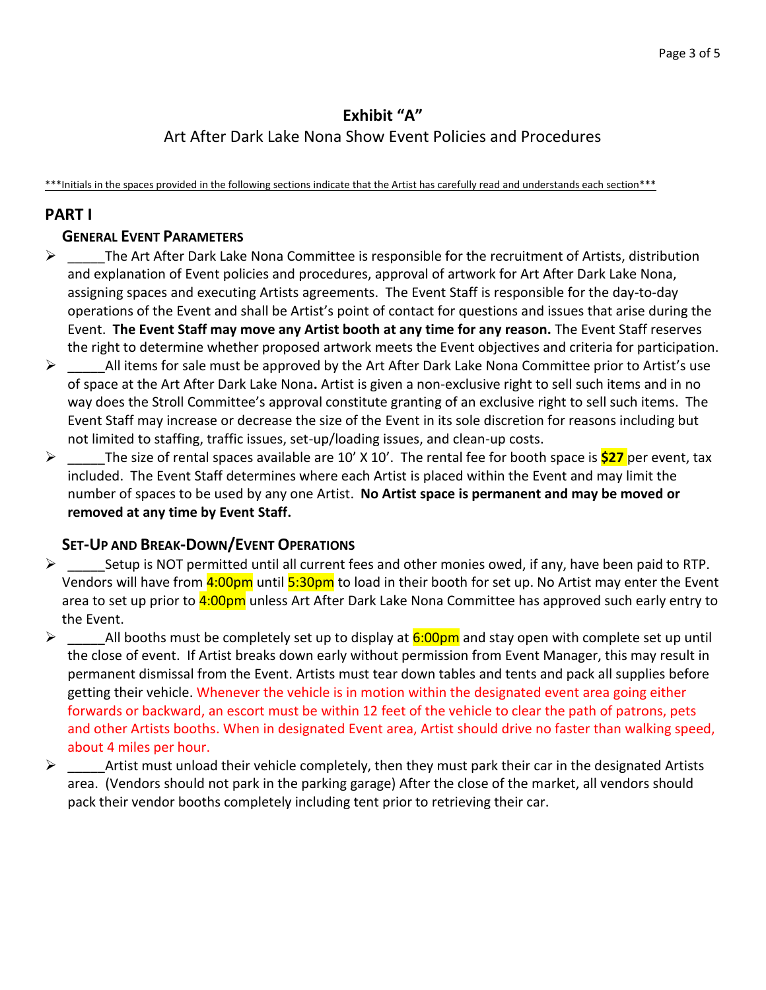# **Exhibit "A"**

# Art After Dark Lake Nona Show Event Policies and Procedures

\*\*\*Initials in the spaces provided in the following sections indicate that the Artist has carefully read and understands each section\*\*\*

# **PART I**

#### **GENERAL EVENT PARAMETERS**

- $\triangleright$  The Art After Dark Lake Nona Committee is responsible for the recruitment of Artists, distribution and explanation of Event policies and procedures, approval of artwork for Art After Dark Lake Nona, assigning spaces and executing Artists agreements. The Event Staff is responsible for the day-to-day operations of the Event and shall be Artist's point of contact for questions and issues that arise during the Event. **The Event Staff may move any Artist booth at any time for any reason.** The Event Staff reserves the right to determine whether proposed artwork meets the Event objectives and criteria for participation.
- $\triangleright$  All items for sale must be approved by the Art After Dark Lake Nona Committee prior to Artist's use of space at the Art After Dark Lake Nona**.** Artist is given a non-exclusive right to sell such items and in no way does the Stroll Committee's approval constitute granting of an exclusive right to sell such items. The Event Staff may increase or decrease the size of the Event in its sole discretion for reasons including but not limited to staffing, traffic issues, set-up/loading issues, and clean-up costs.
- ➢ \_\_\_\_\_The size of rental spaces available are 10' X 10'. The rental fee for booth space is **\$27** per event, tax included. The Event Staff determines where each Artist is placed within the Event and may limit the number of spaces to be used by any one Artist. **No Artist space is permanent and may be moved or removed at any time by Event Staff.**

#### **SET-UP AND BREAK-DOWN/EVENT OPERATIONS**

- $\triangleright$  Setup is NOT permitted until all current fees and other monies owed, if any, have been paid to RTP. Vendors will have from 4:00pm until 5:30pm to load in their booth for set up. No Artist may enter the Event area to set up prior to 4:00pm unless Art After Dark Lake Nona Committee has approved such early entry to the Event.
- $\triangleright$  All booths must be completely set up to display at 6:00pm and stay open with complete set up until the close of event. If Artist breaks down early without permission from Event Manager, this may result in permanent dismissal from the Event. Artists must tear down tables and tents and pack all supplies before getting their vehicle. Whenever the vehicle is in motion within the designated event area going either forwards or backward, an escort must be within 12 feet of the vehicle to clear the path of patrons, pets and other Artists booths. When in designated Event area, Artist should drive no faster than walking speed, about 4 miles per hour.
- ➢ \_\_\_\_\_Artist must unload their vehicle completely, then they must park their car in the designated Artists area. (Vendors should not park in the parking garage) After the close of the market, all vendors should pack their vendor booths completely including tent prior to retrieving their car.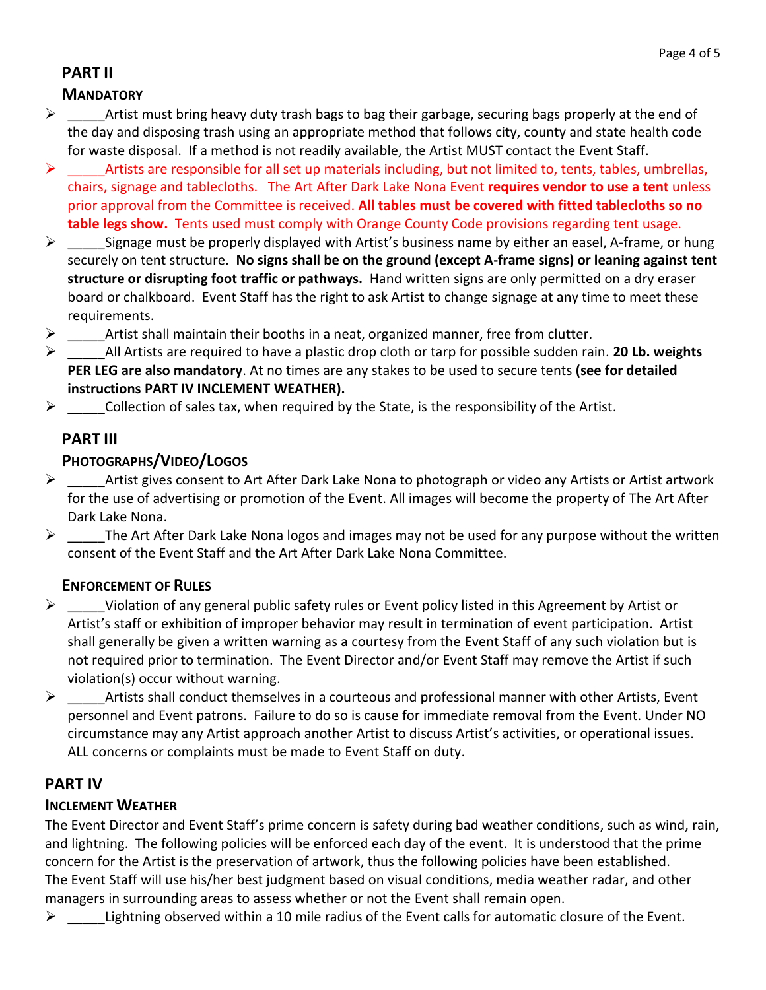# **PART II**

#### **MANDATORY**

- $\triangleright$  Artist must bring heavy duty trash bags to bag their garbage, securing bags properly at the end of the day and disposing trash using an appropriate method that follows city, county and state health code for waste disposal. If a method is not readily available, the Artist MUST contact the Event Staff.
- $\triangleright$  Artists are responsible for all set up materials including, but not limited to, tents, tables, umbrellas, chairs, signage and tablecloths. The Art After Dark Lake Nona Event **requires vendor to use a tent** unless prior approval from the Committee is received. **All tables must be covered with fitted tablecloths so no table legs show.** Tents used must comply with Orange County Code provisions regarding tent usage.
- $\triangleright$  Signage must be properly displayed with Artist's business name by either an easel, A-frame, or hung securely on tent structure. **No signs shall be on the ground (except A-frame signs) or leaning against tent structure or disrupting foot traffic or pathways.** Hand written signs are only permitted on a dry eraser board or chalkboard. Event Staff has the right to ask Artist to change signage at any time to meet these requirements.
- $\triangleright$  Artist shall maintain their booths in a neat, organized manner, free from clutter.
- ➢ \_\_\_\_\_All Artists are required to have a plastic drop cloth or tarp for possible sudden rain. **20 Lb. weights PER LEG are also mandatory**. At no times are any stakes to be used to secure tents **(see for detailed instructions PART IV INCLEMENT WEATHER).**
- $\triangleright$  Collection of sales tax, when required by the State, is the responsibility of the Artist.

#### **PART III**

#### **PHOTOGRAPHS/VIDEO/LOGOS**

- $\triangleright$  Artist gives consent to Art After Dark Lake Nona to photograph or video any Artists or Artist artwork for the use of advertising or promotion of the Event. All images will become the property of The Art After Dark Lake Nona.
- $\triangleright$  The Art After Dark Lake Nona logos and images may not be used for any purpose without the written consent of the Event Staff and the Art After Dark Lake Nona Committee.

#### **ENFORCEMENT OF RULES**

- $\triangleright$  Violation of any general public safety rules or Event policy listed in this Agreement by Artist or Artist's staff or exhibition of improper behavior may result in termination of event participation. Artist shall generally be given a written warning as a courtesy from the Event Staff of any such violation but is not required prior to termination. The Event Director and/or Event Staff may remove the Artist if such violation(s) occur without warning.
- $\triangleright$  \_\_\_\_\_\_\_\_\_\_Artists shall conduct themselves in a courteous and professional manner with other Artists, Event personnel and Event patrons. Failure to do so is cause for immediate removal from the Event. Under NO circumstance may any Artist approach another Artist to discuss Artist's activities, or operational issues. ALL concerns or complaints must be made to Event Staff on duty.

#### **PART IV**

#### **INCLEMENT WEATHER**

The Event Director and Event Staff's prime concern is safety during bad weather conditions, such as wind, rain, and lightning. The following policies will be enforced each day of the event. It is understood that the prime concern for the Artist is the preservation of artwork, thus the following policies have been established. The Event Staff will use his/her best judgment based on visual conditions, media weather radar, and other managers in surrounding areas to assess whether or not the Event shall remain open.

Lightning observed within a 10 mile radius of the Event calls for automatic closure of the Event.